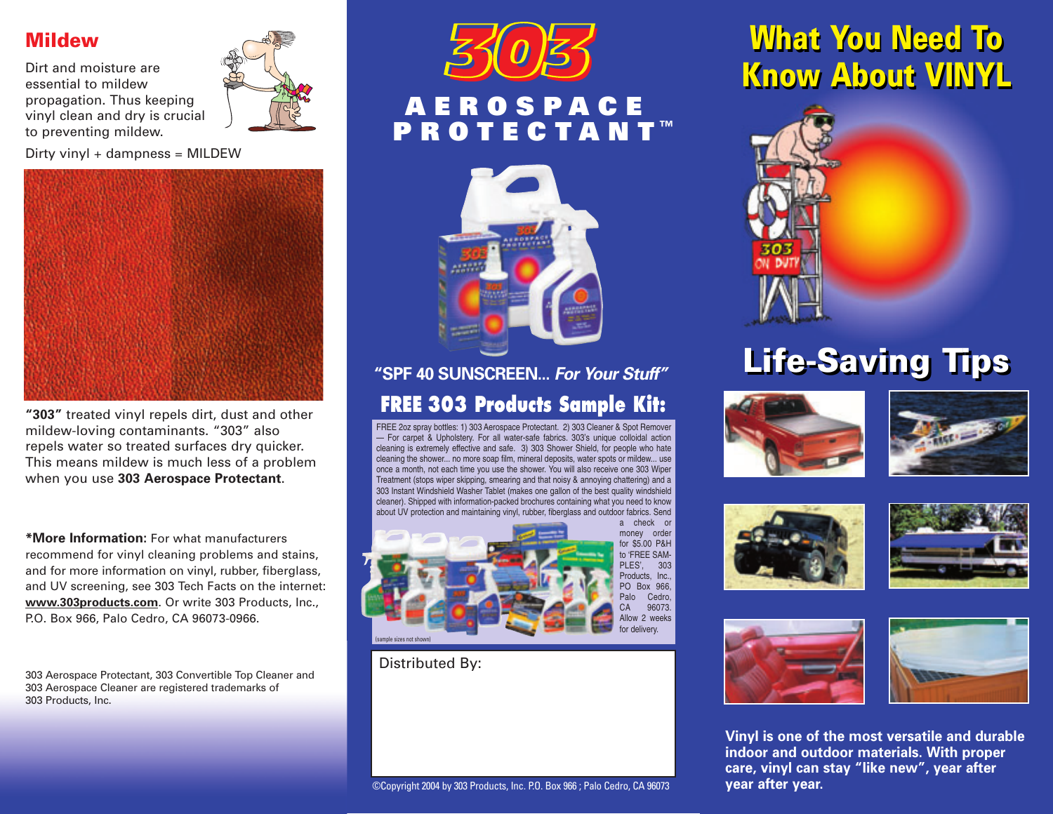#### Mildew

Dirt and moisture are essential to mildew propagation. Thus keeping vinyl clean and dry is crucial to preventing mildew.



Dirty vinyl + dampness = MILDEW



**"303"** treated vinyl repels dirt, dust and other mildew-loving contaminants. "303" also repels water so treated surfaces dry quicker. This means mildew is much less of a problem when you use **303 Aerospace Protectant**.

**\*More Information:** For what manufacturers recommend for vinyl cleaning problems and stains, and for more information on vinyl, rubber, fiberglass, and UV screening, see 303 Tech Facts on the internet: **www.303products.com**. Or write 303 Products, Inc., P.O. Box 966, Palo Cedro, CA 96073-0966.

303 Aerospace Protectant, 303 Convertible Top Cleaner and 303 Aerospace Cleaner are registered trademarks of 303 Products, Inc.



# **AEROSPACE PROTECTANT ™**



### **FREE 303 Products Sample Kit: "SPF 40 SUNSCREEN...** *For Your Stuff"*

FREE 2oz spray bottles: 1) 303 Aerospace Protectant. 2) 303 Cleaner & Spot Remover — For carpet & Upholstery. For all water-safe fabrics. 303's unique colloidal action cleaning is extremely effective and safe. 3) 303 Shower Shield, for people who hate cleaning the shower... no more soap film, mineral deposits, water spots or mildew... use once a month, not each time you use the shower. You will also receive one 303 Wiper Treatment (stops wiper skipping, smearing and that noisy & annoying chattering) and a 303 Instant Windshield Washer Tablet (makes one gallon of the best quality windshield cleaner). Shipped with information-packed brochures containing what you need to know about UV protection and maintaining vinyl, rubber, fiberglass and outdoor fabrics. Send



Distributed By:

## What You Need To What You Need To Know About VINYL



## Life-Saving Tips













**Vinyl is one of the most versatile and durable indoor and outdoor materials. With proper care, vinyl can stay "like new", year after year after year.**

#### ©Copyright 2004 by 303 Products, Inc. P.O. Box 966 ; Palo Cedro, CA 96073